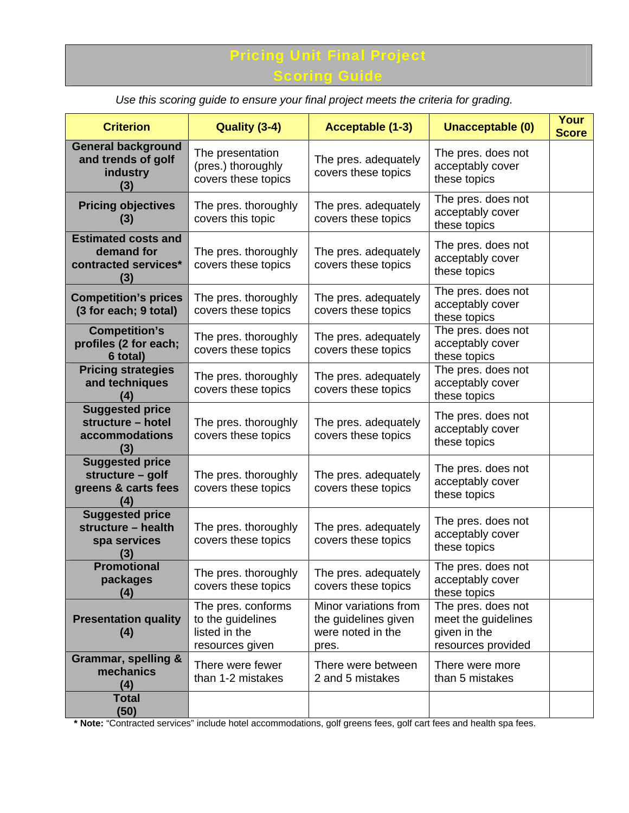## Pricing Unit Final Project **Scoring Guide**

**Criterion Quality (3-4) Acceptable (1-3) Unacceptable (0) Your Score General background and trends of golf industry (3)**  The presentation (pres.) thoroughly covers these topics The pres. adequately covers these topics The pres. does not acceptably cover these topics **Pricing objectives (3)**  The pres. thoroughly covers this topic The pres. adequately covers these topics The pres. does not acceptably cover these topics **Estimated costs and demand for contracted services\* (3)**  The pres. thoroughly covers these topics The pres. adequately covers these topics The pres. does not acceptably cover these topics **Competition's prices (3 for each; 9 total)**  The pres. thoroughly covers these topics The pres. adequately covers these topics The pres. does not acceptably cover these topics **Competition's profiles (2 for each; 6 total)**  The pres. thoroughly covers these topics The pres. adequately covers these topics The pres. does not acceptably cover these topics **Pricing strategies and techniques (4)**  The pres. thoroughly covers these topics The pres. adequately covers these topics The pres. does not acceptably cover these topics **Suggested price structure – hotel accommodations (3)**  The pres. thoroughly covers these topics The pres. adequately covers these topics The pres. does not acceptably cover these topics **Suggested price structure – golf greens & carts fees (4)**  The pres. thoroughly covers these topics The pres. adequately covers these topics The pres. does not acceptably cover these topics **Suggested price structure – health spa services (3)**  The pres. thoroughly covers these topics The pres. adequately covers these topics The pres. does not acceptably cover these topics **Promotional packages (4)**  The pres. thoroughly covers these topics The pres. adequately covers these topics The pres. does not acceptably cover these topics **Presentation quality (4)**  The pres. conforms to the guidelines listed in the resources given Minor variations from the guidelines given were noted in the pres. The pres. does not meet the guidelines given in the resources provided **Grammar, spelling & mechanics (4)**  There were fewer than 1-2 mistakes There were between 2 and 5 mistakes There were more than 5 mistakes **Total (50)** 

*Use this scoring guide to ensure your final project meets the criteria for grading.* 

**\* Note:** "Contracted services" include hotel accommodations, golf greens fees, golf cart fees and health spa fees.